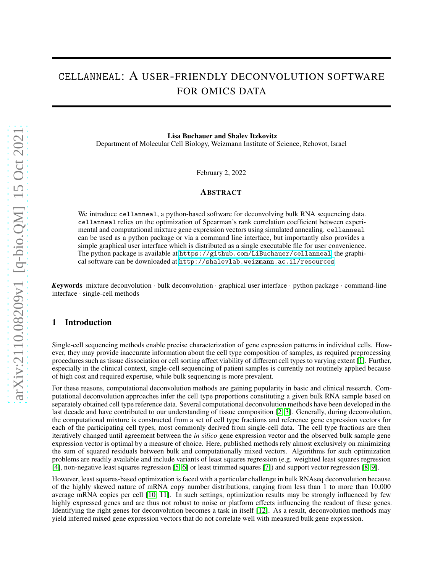# cellanneal: A USER-FRIENDLY DECONVOLUTION SOFTWARE FOR OMICS DATA

Lisa Buchauer and Shalev Itzkovitz Department of Molecular Cell Biology, Weizmann Institute of Science, Rehovot, Israel

February 2, 2022

#### ABSTRACT

We introduce cellanneal, a python-based software for deconvolving bulk RNA sequencing data. cellanneal relies on the optimization of Spearman's rank correlation coefficient between experimental and computational mixture gene expression vectors using simulated annealing. cellanneal can be used as a python package or via a command line interface, but importantly also provides a simple graphical user interface which is distributed as a single executable file for user convenience. The python package is available at <https://github.com/LiBuchauer/cellanneal>, the graphical software can be downloaded at <http://shalevlab.weizmann.ac.il/resources>.

*K*eywords mixture deconvolution · bulk deconvolution · graphical user interface · python package · command-line interface · single-cell methods

#### 1 Introduction

Single-cell sequencing methods enable precise characterization of gene expression patterns in individual cells. However, they may provide inaccurate information about the cell type composition of samples, as required preprocessing procedures such as tissue dissociation or cell sorting affect viability of different cell types to varying extent [\[1\]](#page-1-0). Further, especially in the clinical context, single-cell sequencing of patient samples is currently not routinely applied because of high cost and required expertise, while bulk sequencing is more prevalent.

For these reasons, computational deconvolution methods are gaining popularity in basic and clinical research. Computational deconvolution approaches infer the cell type proportions constituting a given bulk RNA sample based on separately obtained cell type reference data. Several computational deconvolution methods have been developed in the last decade and have contributed to our understanding of tissue composition [\[2,](#page-2-0) [3\]](#page-2-1). Generally, during deconvolution, the computational mixture is constructed from a set of cell type fractions and reference gene expression vectors for each of the participating cell types, most commonly derived from single-cell data. The cell type fractions are then iteratively changed until agreement between the *in silico* gene expression vector and the observed bulk sample gene expression vector is optimal by a measure of choice. Here, published methods rely almost exclusively on minimizing the sum of squared residuals between bulk and computationally mixed vectors. Algorithms for such optimization problems are readily available and include variants of least squares regression (e.g. weighted least squares regression [\[4\]](#page-2-2), non-negative least squares regression [\[5,](#page-2-3) [6\]](#page-2-4) or least trimmed squares [\[7\]](#page-2-5)) and support vector regression [\[8,](#page-2-6) [9\]](#page-2-7).

However, least squares-based optimization is faced with a particular challenge in bulk RNAseq deconvolution because of the highly skewed nature of mRNA copy number distributions, ranging from less than 1 to more than 10,000 average mRNA copies per cell [\[10,](#page-2-8) [11\]](#page-2-9). In such settings, optimization results may be strongly influenced by few highly expressed genes and are thus not robust to noise or platform effects influencing the readout of these genes. Identifying the right genes for deconvolution becomes a task in itself [\[12\]](#page-2-10). As a result, deconvolution methods may yield inferred mixed gene expression vectors that do not correlate well with measured bulk gene expression.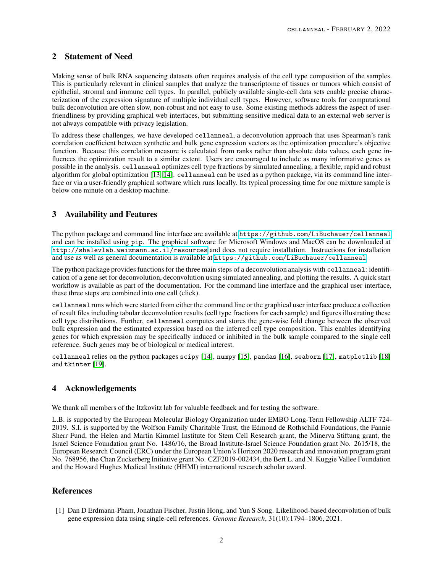### 2 Statement of Need

Making sense of bulk RNA sequencing datasets often requires analysis of the cell type composition of the samples. This is particularly relevant in clinical samples that analyze the transcriptome of tissues or tumors which consist of epithelial, stromal and immune cell types. In parallel, publicly available single-cell data sets enable precise characterization of the expression signature of multiple individual cell types. However, software tools for computational bulk deconvolution are often slow, non-robust and not easy to use. Some existing methods address the aspect of userfriendliness by providing graphical web interfaces, but submitting sensitive medical data to an external web server is not always compatible with privacy legislation.

To address these challenges, we have developed cellanneal, a deconvolution approach that uses Spearman's rank correlation coefficient between synthetic and bulk gene expression vectors as the optimization procedure's objective function. Because this correlation measure is calculated from ranks rather than absolute data values, each gene influences the optimization result to a similar extent. Users are encouraged to include as many informative genes as possible in the analysis. cellanneal optimizes cell type fractions by simulated annealing, a flexible, rapid and robust algorithm for global optimization [\[13,](#page-2-11) [14\]](#page-2-12). cellanneal can be used as a python package, via its command line interface or via a user-friendly graphical software which runs locally. Its typical processing time for one mixture sample is below one minute on a desktop machine.

## 3 Availability and Features

The python package and command line interface are available at <https://github.com/LiBuchauer/cellanneal> and can be installed using pip. The graphical software for Microsoft Windows and MacOS can be downloaded at <http://shalevlab.weizmann.ac.il/resources> and does not require installation. Instructions for installation and use as well as general documentation is available at <https://github.com/LiBuchauer/cellanneal>.

The python package provides functions for the three main steps of a deconvolution analysis with cellanneal: identification of a gene set for deconvolution, deconvolution using simulated annealing, and plotting the results. A quick start workflow is available as part of the documentation. For the command line interface and the graphical user interface, these three steps are combined into one call (click).

cellanneal runs which were started from either the command line or the graphical user interface produce a collection of result files including tabular deconvolution results (cell type fractions for each sample) and figures illustrating these cell type distributions. Further, cellanneal computes and stores the gene-wise fold change between the observed bulk expression and the estimated expression based on the inferred cell type composition. This enables identifying genes for which expression may be specifically induced or inhibited in the bulk sample compared to the single cell reference. Such genes may be of biological or medical interest.

cellanneal relies on the python packages scipy [\[14\]](#page-2-12), numpy [\[15\]](#page-2-13), pandas [\[16\]](#page-2-14), seaborn [\[17\]](#page-2-15), matplotlib [\[18\]](#page-2-16) and tkinter [\[19\]](#page-2-17).

### 4 Acknowledgements

We thank all members of the Itzkovitz lab for valuable feedback and for testing the software.

L.B. is supported by the European Molecular Biology Organization under EMBO Long-Term Fellowship ALTF 724- 2019. S.I. is supported by the Wolfson Family Charitable Trust, the Edmond de Rothschild Foundations, the Fannie Sherr Fund, the Helen and Martin Kimmel Institute for Stem Cell Research grant, the Minerva Stiftung grant, the Israel Science Foundation grant No. 1486/16, the Broad Institute-Israel Science Foundation grant No. 2615/18, the European Research Council (ERC) under the European Union's Horizon 2020 research and innovation program grant No. 768956, the Chan Zuckerberg Initiative grant No. CZF2019-002434, the Bert L. and N. Kuggie Vallee Foundation and the Howard Hughes Medical Institute (HHMI) international research scholar award.

### <span id="page-1-0"></span>**References**

[1] Dan D Erdmann-Pham, Jonathan Fischer, Justin Hong, and Yun S Song. Likelihood-based deconvolution of bulk gene expression data using single-cell references. *Genome Research*, 31(10):1794–1806, 2021.